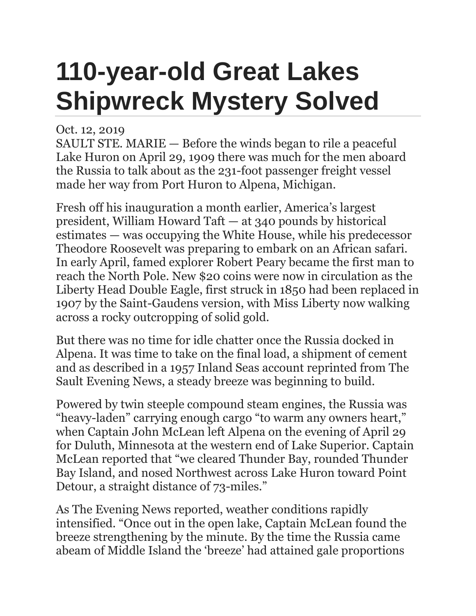## **110-year-old Great Lakes Shipwreck Mystery Solved**

## Oct. 12, 2019

SAULT STE. MARIE — Before the winds began to rile a peaceful Lake Huron on April 29, 1909 there was much for the men aboard the Russia to talk about as the 231-foot passenger freight vessel made her way from Port Huron to Alpena, Michigan.

Fresh off his inauguration a month earlier, America's largest president, William Howard Taft — at 340 pounds by historical estimates — was occupying the White House, while his predecessor Theodore Roosevelt was preparing to embark on an African safari. In early April, famed explorer Robert Peary became the first man to reach the North Pole. New \$20 coins were now in circulation as the Liberty Head Double Eagle, first struck in 1850 had been replaced in 1907 by the Saint-Gaudens version, with Miss Liberty now walking across a rocky outcropping of solid gold.

But there was no time for idle chatter once the Russia docked in Alpena. It was time to take on the final load, a shipment of cement and as described in a 1957 Inland Seas account reprinted from The Sault Evening News, a steady breeze was beginning to build.

Powered by twin steeple compound steam engines, the Russia was "heavy-laden" carrying enough cargo "to warm any owners heart," when Captain John McLean left Alpena on the evening of April 29 for Duluth, Minnesota at the western end of Lake Superior. Captain McLean reported that "we cleared Thunder Bay, rounded Thunder Bay Island, and nosed Northwest across Lake Huron toward Point Detour, a straight distance of 73-miles."

As The Evening News reported, weather conditions rapidly intensified. "Once out in the open lake, Captain McLean found the breeze strengthening by the minute. By the time the Russia came abeam of Middle Island the 'breeze' had attained gale proportions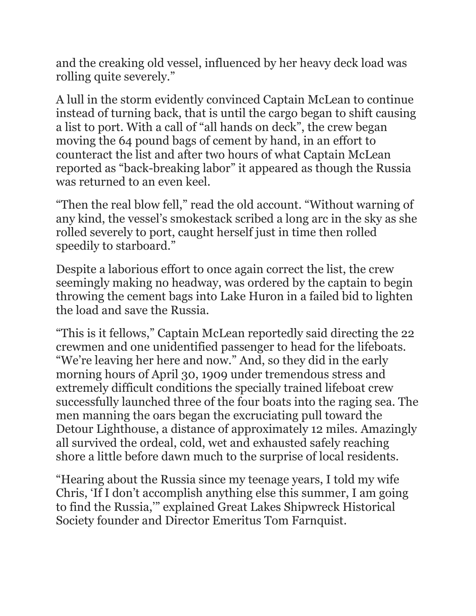and the creaking old vessel, influenced by her heavy deck load was rolling quite severely."

A lull in the storm evidently convinced Captain McLean to continue instead of turning back, that is until the cargo began to shift causing a list to port. With a call of "all hands on deck", the crew began moving the 64 pound bags of cement by hand, in an effort to counteract the list and after two hours of what Captain McLean reported as "back-breaking labor" it appeared as though the Russia was returned to an even keel.

"Then the real blow fell," read the old account. "Without warning of any kind, the vessel's smokestack scribed a long arc in the sky as she rolled severely to port, caught herself just in time then rolled speedily to starboard."

Despite a laborious effort to once again correct the list, the crew seemingly making no headway, was ordered by the captain to begin throwing the cement bags into Lake Huron in a failed bid to lighten the load and save the Russia.

"This is it fellows," Captain McLean reportedly said directing the 22 crewmen and one unidentified passenger to head for the lifeboats. "We're leaving her here and now." And, so they did in the early morning hours of April 30, 1909 under tremendous stress and extremely difficult conditions the specially trained lifeboat crew successfully launched three of the four boats into the raging sea. The men manning the oars began the excruciating pull toward the Detour Lighthouse, a distance of approximately 12 miles. Amazingly all survived the ordeal, cold, wet and exhausted safely reaching shore a little before dawn much to the surprise of local residents.

"Hearing about the Russia since my teenage years, I told my wife Chris, 'If I don't accomplish anything else this summer, I am going to find the Russia,'" explained Great Lakes Shipwreck Historical Society founder and Director Emeritus Tom Farnquist.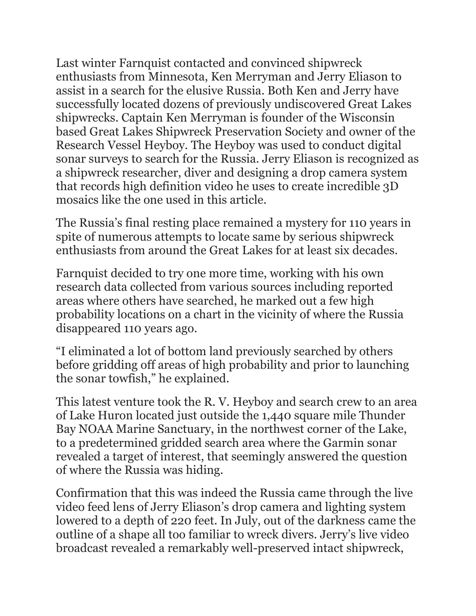Last winter Farnquist contacted and convinced shipwreck enthusiasts from Minnesota, Ken Merryman and Jerry Eliason to assist in a search for the elusive Russia. Both Ken and Jerry have successfully located dozens of previously undiscovered Great Lakes shipwrecks. Captain Ken Merryman is founder of the Wisconsin based Great Lakes Shipwreck Preservation Society and owner of the Research Vessel Heyboy. The Heyboy was used to conduct digital sonar surveys to search for the Russia. Jerry Eliason is recognized as a shipwreck researcher, diver and designing a drop camera system that records high definition video he uses to create incredible 3D mosaics like the one used in this article.

The Russia's final resting place remained a mystery for 110 years in spite of numerous attempts to locate same by serious shipwreck enthusiasts from around the Great Lakes for at least six decades.

Farnquist decided to try one more time, working with his own research data collected from various sources including reported areas where others have searched, he marked out a few high probability locations on a chart in the vicinity of where the Russia disappeared 110 years ago.

"I eliminated a lot of bottom land previously searched by others before gridding off areas of high probability and prior to launching the sonar towfish," he explained.

This latest venture took the R. V. Heyboy and search crew to an area of Lake Huron located just outside the 1,440 square mile Thunder Bay NOAA Marine Sanctuary, in the northwest corner of the Lake, to a predetermined gridded search area where the Garmin sonar revealed a target of interest, that seemingly answered the question of where the Russia was hiding.

Confirmation that this was indeed the Russia came through the live video feed lens of Jerry Eliason's drop camera and lighting system lowered to a depth of 220 feet. In July, out of the darkness came the outline of a shape all too familiar to wreck divers. Jerry's live video broadcast revealed a remarkably well-preserved intact shipwreck,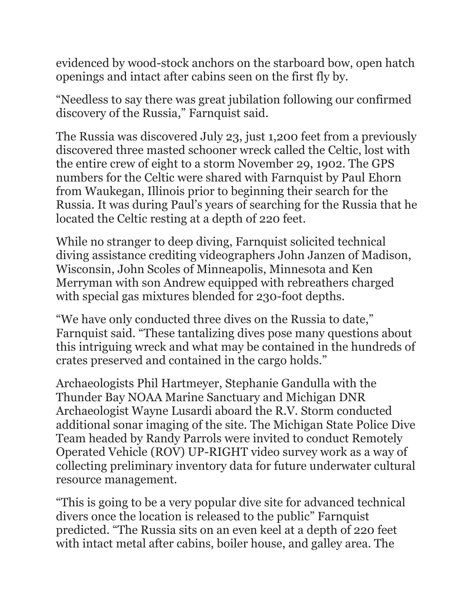evidenced by wood-stock anchors on the starboard bow, open hatch openings and intact after cabins seen on the first fly by.

"Needless to say there was great jubilation following our confirmed discovery of the Russia," Farnquist said.

The Russia was discovered July 23, just 1,200 feet from a previously discovered three masted schooner wreck called the Celtic, lost with the entire crew of eight to a storm November 29, 1902. The GPS numbers for the Celtic were shared with Farnquist by Paul Ehorn from Waukegan, Illinois prior to beginning their search for the Russia. It was during Paul's years of searching for the Russia that he located the Celtic resting at a depth of 220 feet.

While no stranger to deep diving, Farnquist solicited technical diving assistance crediting videographers John Janzen of Madison, Wisconsin, John Scoles of Minneapolis, Minnesota and Ken Merryman with son Andrew equipped with rebreathers charged with special gas mixtures blended for 230-foot depths.

"We have only conducted three dives on the Russia to date," Farnquist said. "These tantalizing dives pose many questions about this intriguing wreck and what may be contained in the hundreds of crates preserved and contained in the cargo holds."

Archaeologists Phil Hartmeyer, Stephanie Gandulla with the Thunder Bay NOAA Marine Sanctuary and Michigan DNR Archaeologist Wayne Lusardi aboard the R.V. Storm conducted additional sonar imaging of the site. The Michigan State Police Dive Team headed by Randy Parrols were invited to conduct Remotely Operated Vehicle (ROV) UP-RIGHT video survey work as a way of collecting preliminary inventory data for future underwater cultural resource management.

"This is going to be a very popular dive site for advanced technical divers once the location is released to the public" Farnquist predicted. "The Russia sits on an even keel at a depth of 220 feet with intact metal after cabins, boiler house, and galley area. The